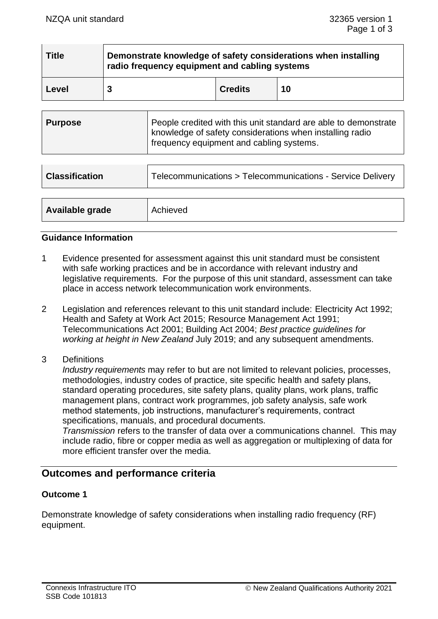| <b>Title</b> | Demonstrate knowledge of safety considerations when installing<br>radio frequency equipment and cabling systems |                |    |
|--------------|-----------------------------------------------------------------------------------------------------------------|----------------|----|
| Level        |                                                                                                                 | <b>Credits</b> | 10 |

| Purpose | People credited with this unit standard are able to demonstrate<br>  knowledge of safety considerations when installing radio<br>frequency equipment and cabling systems. |
|---------|---------------------------------------------------------------------------------------------------------------------------------------------------------------------------|
|         |                                                                                                                                                                           |

| <b>Classification</b> | Telecommunications > Telecommunications - Service Delivery |  |
|-----------------------|------------------------------------------------------------|--|
|                       |                                                            |  |
| Available grade       | Achieved                                                   |  |

#### **Guidance Information**

- 1 Evidence presented for assessment against this unit standard must be consistent with safe working practices and be in accordance with relevant industry and legislative requirements. For the purpose of this unit standard, assessment can take place in access network telecommunication work environments.
- 2 Legislation and references relevant to this unit standard include: Electricity Act 1992; Health and Safety at Work Act 2015; Resource Management Act 1991; Telecommunications Act 2001; Building Act 2004; *Best practice guidelines for working at height in New Zealand* July 2019; and any subsequent amendments.
- 3 Definitions

*Industry requirements* may refer to but are not limited to relevant policies, processes, methodologies, industry codes of practice, site specific health and safety plans, standard operating procedures, site safety plans, quality plans, work plans, traffic management plans, contract work programmes, job safety analysis, safe work method statements, job instructions, manufacturer's requirements, contract specifications, manuals, and procedural documents.

*Transmission* refers to the transfer of data over a communications channel. This may include radio, fibre or copper media as well as aggregation or multiplexing of data for more efficient transfer over the media.

## **Outcomes and performance criteria**

#### **Outcome 1**

Demonstrate knowledge of safety considerations when installing radio frequency (RF) equipment.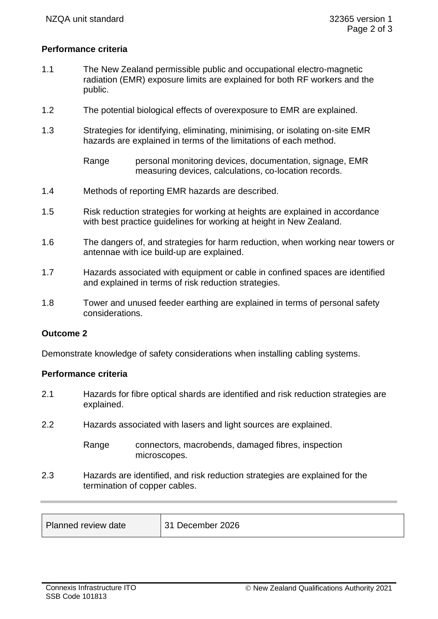#### **Performance criteria**

- 1.1 The New Zealand permissible public and occupational electro-magnetic radiation (EMR) exposure limits are explained for both RF workers and the public.
- 1.2 The potential biological effects of overexposure to EMR are explained.
- 1.3 Strategies for identifying, eliminating, minimising, or isolating on-site EMR hazards are explained in terms of the limitations of each method.
	- Range personal monitoring devices, documentation, signage, EMR measuring devices, calculations, co-location records.
- 1.4 Methods of reporting EMR hazards are described.
- 1.5 Risk reduction strategies for working at heights are explained in accordance with best practice guidelines for working at height in New Zealand.
- 1.6 The dangers of, and strategies for harm reduction, when working near towers or antennae with ice build-up are explained.
- 1.7 Hazards associated with equipment or cable in confined spaces are identified and explained in terms of risk reduction strategies.
- 1.8 Tower and unused feeder earthing are explained in terms of personal safety considerations.

#### **Outcome 2**

Demonstrate knowledge of safety considerations when installing cabling systems.

#### **Performance criteria**

- 2.1 Hazards for fibre optical shards are identified and risk reduction strategies are explained.
- 2.2 Hazards associated with lasers and light sources are explained.
	- Range connectors, macrobends, damaged fibres, inspection microscopes.
- 2.3 Hazards are identified, and risk reduction strategies are explained for the termination of copper cables.

| Planned review date | 31 December 2026 |
|---------------------|------------------|
|                     |                  |